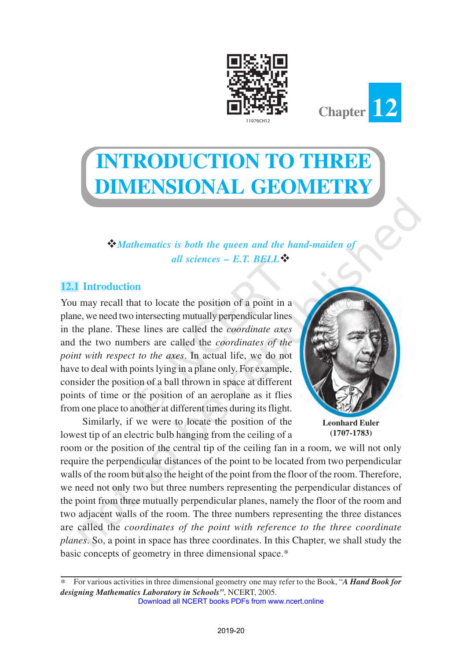



# **INTRODUCTION TO THREE DIMENSIONAL GEOMETRY**

v*Mathematics is both the queen and the hand-maiden of all sciences – E.T. BELL* 

# **12.1 Introduction**

You may recall that to locate the position of a point in a plane, we need two intersecting mutually perpendicular lines in the plane. These lines are called the *coordinate axes* and the two numbers are called the *coordinates of the point with respect to the axes*. In actual life, we do not have to deal with points lying in a plane only. For example, consider the position of a ball thrown in space at different points of time or the position of an aeroplane as it flies from one place to another at different times during its flight.

Similarly, if we were to locate the position of the lowest tip of an electric bulb hanging from the ceiling of a



**Leonhard Euler (1707-1783)**

room or the position of the central tip of the ceiling fan in a room, we will not only require the perpendicular distances of the point to be located from two perpendicular walls of the room but also the height of the point from the floor of the room. Therefore, we need not only two but three numbers representing the perpendicular distances of the point from three mutually perpendicular planes, namely the floor of the room and two adjacent walls of the room. The three numbers representing the three distances are called the *coordinates of the point with reference to the three coordinate planes*. So, a point in space has three coordinates. In this Chapter, we shall study the basic concepts of geometry in three dimensional space.\*

<sup>\*</sup> For various activities in three dimensional geometry one may refer to the Book, "*A Hand Book for designing Mathematics Laboratory in Schools"*, NCERT, 2005.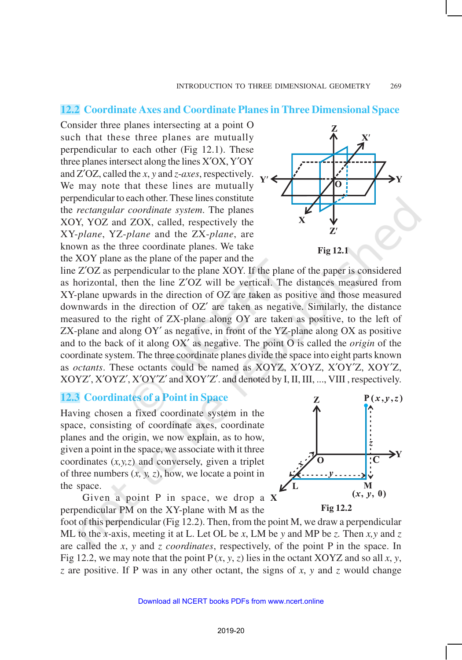## **12.2 Coordinate Axes and Coordinate Planes in Three Dimensional Space**

Consider three planes intersecting at a point O such that these three planes are mutually perpendicular to each other (Fig 12.1). These three planes intersect along the lines X′OX, Y′OY and Z′OZ, called the *x*, *y* and *z*-*axes*, respectively. We may note that these lines are mutually perpendicular to each other. These lines constitute the *rectangular coordinate system*. The planes XOY, YOZ and ZOX, called, respectively the XY-*plane*, YZ-*plane* and the ZX-*plane*, are known as the three coordinate planes. We take the XOY plane as the plane of the paper and the

line Z′OZ as perpendicular to the plane XOY. If the plane of the paper is considered as horizontal, then the line Z′OZ will be vertical. The distances measured from XY-plane upwards in the direction of OZ are taken as positive and those measured downwards in the direction of OZ′ are taken as negative. Similarly, the distance measured to the right of ZX-plane along OY are taken as positive, to the left of ZX-plane and along OY′ as negative, in front of the YZ-plane along OX as positive and to the back of it along OX′ as negative. The point O is called the *origin* of the coordinate system. The three coordinate planes divide the space into eight parts known as *octants*. These octants could be named as XOYZ, X′OYZ, X′OY′Z, XOY′Z, XOYZ′, X′OYZ′, X′OY′Z′ and XOY′Z′. and denoted by I, II, III, ..., VIII , respectively.

## **12.3 Coordinates of a Point in Space**

Having chosen a fixed coordinate system in the space, consisting of coordinate axes, coordinate planes and the origin, we now explain, as to how, given a point in the space, we associate with it three coordinates (*x,y,z*) and conversely, given a triplet of three numbers  $(x, y, z)$ , how, we locate a point in the space.

Given a point  $P$  in space, we drop a  $X$ perpendicular PM on the XY-plane with M as the



**Fig 12.1**

 $\overline{z}$ 

 $\overline{\mathbf{X}}$ 

foot of this perpendicular (Fig 12.2). Then, from the point M, we draw a perpendicular ML to the *x*-axis, meeting it at L. Let OL be *x*, LM be *y* and MP be *z*. Then *x*, *y* and *z* are called the *x*, *y* and *z coordinates*, respectively, of the point P in the space. In Fig 12.2, we may note that the point  $P(x, y, z)$  lies in the octant XOYZ and so all *x*, *y*, *z* are positive. If P was in any other octant, the signs of *x*, *y* and *z* would change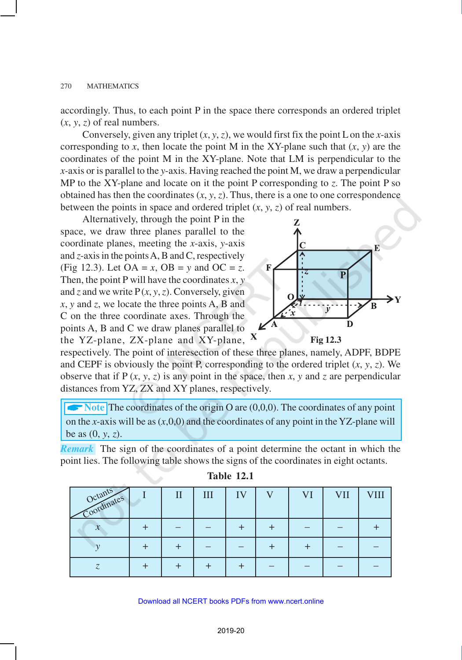accordingly. Thus, to each point P in the space there corresponds an ordered triplet  $(x, y, z)$  of real numbers.

Conversely, given any triplet  $(x, y, z)$ , we would first fix the point L on the *x*-axis corresponding to *x*, then locate the point M in the XY-plane such that  $(x, y)$  are the coordinates of the point M in the XY-plane. Note that LM is perpendicular to the *x-*axis or is parallel to the *y*-axis. Having reached the point M, we draw a perpendicular MP to the XY-plane and locate on it the point P corresponding to *z*. The point P so obtained has then the coordinates  $(x, y, z)$ . Thus, there is a one to one correspondence between the points in space and ordered triplet  $(x, y, z)$  of real numbers.

Alternatively, through the point P in the space, we draw three planes parallel to the coordinate planes, meeting the *x*-axis, *y*-axis and *z*-axis in the points A, B and C, respectively (Fig 12.3). Let  $OA = x$ ,  $OB = y$  and  $OC = z$ . Then, the point P will have the coordinates *x*, *y* and *z* and we write  $P(x, y, z)$ . Conversely, given *x*, *y* and *z*, we locate the three points A, B and C on the three coordinate axes. Through the points A, B and C we draw planes parallel to the YZ-plane, ZX-plane and XY-plane,





respectively. The point of interesection of these three planes, namely, ADPF, BDPE and CEPF is obviously the point P, corresponding to the ordered triplet  $(x, y, z)$ . We observe that if  $P(x, y, z)$  is any point in the space, then x, y and z are perpendicular distances from YZ, ZX and XY planes, respectively.

**ANOTE** The coordinates of the origin O are (0,0,0). The coordinates of any point on the *x*-axis will be as  $(x,0,0)$  and the coordinates of any point in the YZ-plane will be as (0, *y*, *z*).

*Remark* The sign of the coordinates of a point determine the octant in which the point lies. The following table shows the signs of the coordinates in eight octants.

| Octants   | $\mathbf{I}$ | III | IV | VI | VII |  |
|-----------|--------------|-----|----|----|-----|--|
| $\lambda$ |              |     |    |    |     |  |
|           |              |     |    |    |     |  |
|           |              |     |    |    |     |  |

**Table 12.1**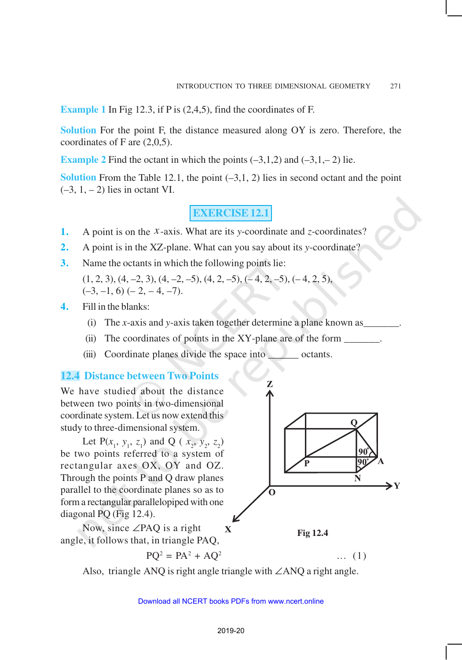**Example 1** In Fig 12.3, if P is  $(2,4,5)$ , find the coordinates of F.

**Solution** For the point F, the distance measured along OY is zero. Therefore, the coordinates of F are (2,0,5).

**Example 2** Find the octant in which the points  $(-3,1,2)$  and  $(-3,1,-2)$  lie.

**Solution** From the Table 12.1, the point  $(-3,1, 2)$  lies in second octant and the point  $(-3, 1, -2)$  lies in octant VI.

# **EXERCISE 12.1**

- **1.** A point is on the *x*-axis. What are its *y*-coordinate and *z*-coordinates?
- **2.** A point is in the XZ-plane. What can you say about its *y*-coordinate?
- **3.** Name the octants in which the following points lie:

 $(1, 2, 3), (4, -2, 3), (4, -2, -5), (4, 2, -5), (-4, 2, -5), (-4, 2, 5),$  $(-3, -1, 6)$   $(-2, -4, -7)$ .

- **4.** Fill in the blanks:
	- (i) The *x*-axis and *y*-axis taken together determine a plane known as\_\_\_\_\_\_\_.
	- (ii) The coordinates of points in the XY-plane are of the form \_\_\_\_\_\_\_.
	- (iii) Coordinate planes divide the space into coctants.

## **12.4 Distance between Two Points**

We have studied about the distance between two points in two-dimensional coordinate system. Let us now extend this study to three-dimensional system.

Let  $P(x_1, y_1, z_1)$  and Q ( $x_2, y_2, z_2$ ) be two points referred to a system of rectangular axes OX, OY and OZ. Through the points P and Q draw planes parallel to the coordinate planes so as to form a rectangular parallelopiped with one diagonal PQ (Fig 12.4).

Now, since ∠PAQ is a right angle, it follows that, in triangle PAQ,

$$
PQ^2 = PA^2 + AQ^2
$$



... (1)

Also, triangle ANQ is right angle triangle with ∠ANQ a right angle.

#### Download all NCERT books PDFs from [www.ncert.online](http://www.ncert.online)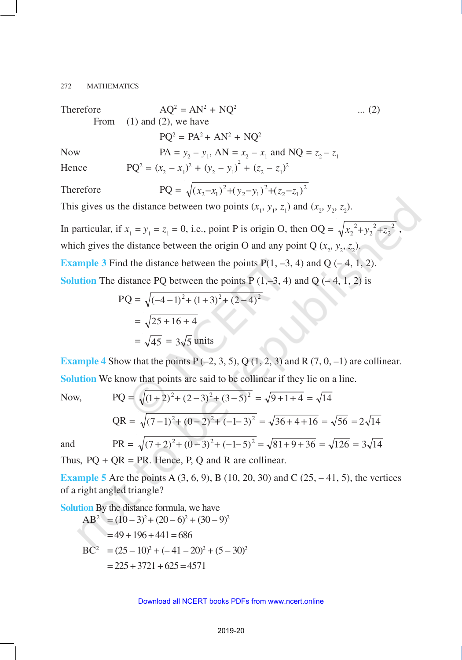Therefore

\n
$$
AQ^{2} = AN^{2} + NQ^{2}
$$
\nFrom (1) and (2), we have

\n
$$
PQ^{2} = PA^{2} + AN^{2} + NQ^{2}
$$
\nNow

\n
$$
PA = y_{2} - y_{1}, AN = x_{2} - x_{1}
$$
\nand

\n
$$
NQ = z_{2} - z_{1}
$$

Hence

Now  $PA = y_2 - y_1$ ,  $AN = x_2 - x_1$  and  $NQ = z$  $=(x_2 - x_1)^2 + (y_2 - y_1)^2 + (z_2 - z_1)^2$ 

Therefore

PQ = 
$$
\sqrt{(x_2 - x_1)^2 + (y_2 - y_1)^2 + (z_2 - z_1)^2}
$$

This gives us the distance between two points  $(x_1, y_1, z_1)$  and  $(x_2, y_2, z_2)$ .

In particular, if  $x_1 = y_1 = z_1 = 0$ , i.e., point P is origin O, then OQ =  $\sqrt{x_2^2 + y_2^2 + z_2^2}$ 2 2  ${x_2}^2+{y_2}^2+{z_2}^2$ , which gives the distance between the origin O and any point Q  $(x_2, y_2, z_2)$ . **Example 3** Find the distance between the points  $P(1, -3, 4)$  and  $Q(-4, 1, 2)$ . **Solution** The distance PQ between the points P  $(1, -3, 4)$  and Q  $(-4, 1, 2)$  is

$$
PQ = \sqrt{(-4-1)^2 + (1+3)^2 + (2-4)^2}
$$
  
=  $\sqrt{25 + 16 + 4}$   
=  $\sqrt{45} = 3\sqrt{5}$  units

**Example 4** Show that the points  $P(-2, 3, 5)$ ,  $Q(1, 2, 3)$  and  $R(7, 0, -1)$  are collinear. **Solution** We know that points are said to be collinear if they lie on a line.

Now, PQ = 
$$
\sqrt{(1+2)^2 + (2-3)^2 + (3-5)^2} = \sqrt{9+1+4} = \sqrt{14}
$$
  
QR =  $\sqrt{(7-1)^2 + (0-2)^2 + (-1-3)^2} = \sqrt{36+4+16} = \sqrt{56} = 2\sqrt{14}$ 

and PR =  $\sqrt{(7+2)^2 + (0-3)^2 + (-1-5)^2} = \sqrt{81+9+36} = \sqrt{126} = 3\sqrt{14}$ Thus,  $PQ + QR = PR$ . Hence, P, Q and R are collinear.

**Example 5** Are the points A  $(3, 6, 9)$ , B  $(10, 20, 30)$  and C  $(25, -41, 5)$ , the vertices of a right angled triangle?

**Solution** By the distance formula, we have

$$
AB2 = (10-3)2 + (20-6)2 + (30-9)2
$$
  
= 49 + 196 + 441 = 686  

$$
BC2 = (25-10)2 + (-41-20)2 + (5-30)2
$$
  
= 225 + 3721 + 625 = 4571

#### Download all NCERT books PDFs from [www.ncert.online](http://www.ncert.online)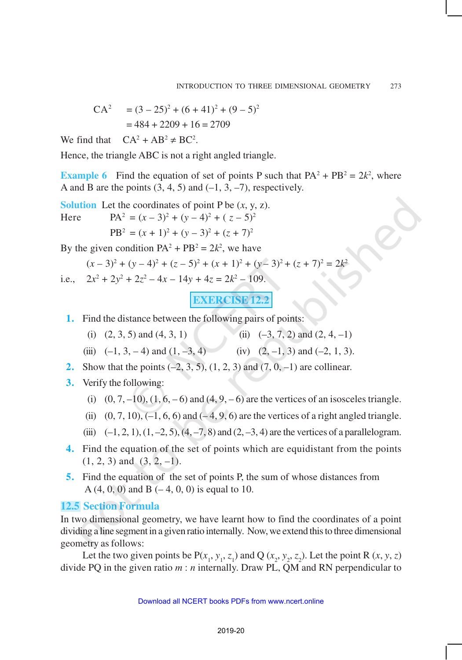$$
CA2 = (3-25)2 + (6+41)2 + (9-5)2
$$
  
= 484 + 2209 + 16 = 2709

We find that  $+ AB^2 \ne BC^2$ .

Hence, the triangle ABC is not a right angled triangle.

**Example 6** Find the equation of set of points P such that  $PA^2 + PB^2 = 2k^2$ , where A and B are the points  $(3, 4, 5)$  and  $(-1, 3, -7)$ , respectively.

**Solution** Let the coordinates of point P be (*x*, y, z). Here  $PA^{2} = (x - 3)^{2} + (y - 4)^{2} + (z - 5)^{2}$  $PB^{2} = (x + 1)^{2} + (y - 3)^{2} + (z + 7)^{2}$ 

By the given condition  $PA^2 + PB^2 = 2k^2$ , we have

$$
(x-3)^2 + (y-4)^2 + (z-5)^2 + (x+1)^2 + (y-3)^2 + (z+7)^2 = 2k^2
$$

i.e., 
$$
2x^2 + 2y^2 + 2z^2 - 4x - 14y + 4z = 2k^2 - 109
$$
.

**EXERCISE 12.2**

- **1.** Find the distance between the following pairs of points:
	- (i)  $(2, 3, 5)$  and  $(4, 3, 1)$  (ii)  $(-3, 7, 2)$  and  $(2, 4, -1)$
	- (iii)  $(-1, 3, -4)$  and  $(1, -3, 4)$  (iv)  $(2, -1, 3)$  and  $(-2, 1, 3)$ .
- **2.** Show that the points  $(-2, 3, 5)$ ,  $(1, 2, 3)$  and  $(7, 0, -1)$  are collinear.
- **3.** Verify the following:
	- (i)  $(0, 7, -10)$ ,  $(1, 6, -6)$  and  $(4, 9, -6)$  are the vertices of an isosceles triangle.
	- (ii)  $(0, 7, 10)$ ,  $(-1, 6, 6)$  and  $(-4, 9, 6)$  are the vertices of a right angled triangle.
	- (iii)  $(-1, 2, 1), (1, -2, 5), (4, -7, 8)$  and  $(2, -3, 4)$  are the vertices of a parallelogram.
- **4.** Find the equation of the set of points which are equidistant from the points  $(1, 2, 3)$  and  $(3, 2, -1)$ .
- **5.** Find the equation of the set of points P, the sum of whose distances from A  $(4, 0, 0)$  and B  $(-4, 0, 0)$  is equal to 10.

## **12.5 Section Formula**

In two dimensional geometry, we have learnt how to find the coordinates of a point dividing a line segment in a given ratio internally. Now, we extend this to three dimensional geometry as follows:

Let the two given points be  $P(x_1, y_1, z_1)$  and Q  $(x_2, y_2, z_2)$ . Let the point R  $(x, y, z)$ divide PQ in the given ratio *m* : *n* internally. Draw PL, QM and RN perpendicular to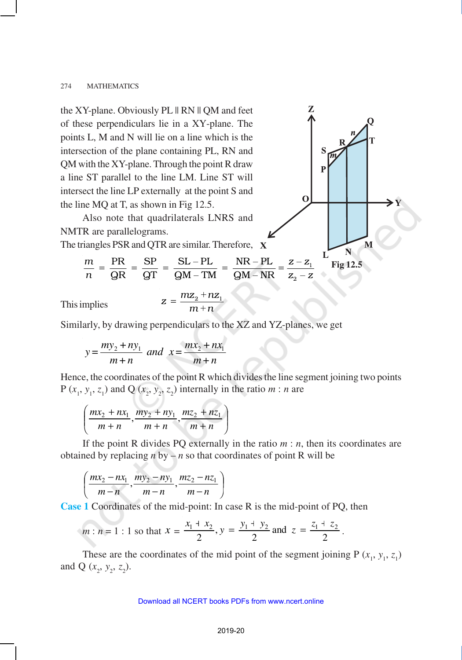the XY-plane. Obviously PL || RN || QM and feet of these perpendiculars lie in a XY-plane. The points L, M and N will lie on a line which is the intersection of the plane containing PL, RN and QM with the XY-plane. Through the point R draw a line ST parallel to the line LM. Line ST will intersect the line LP externally at the point S and the line MQ at T, as shown in Fig 12.5.

Also note that quadrilaterals LNRS and NMTR are parallelograms.

The triangles PSR and QTR are similar. Therefore, X

$$
\frac{m}{n} = \frac{\text{PR}}{\text{QR}} = \frac{\text{SP}}{\text{QT}} = \frac{\text{SL} - \text{PL}}{\text{QM} - \text{TM}} = \frac{\text{NR} - \text{PL}}{\text{QM} - \text{NR}} = \frac{z - z_1}{z_2 - z}
$$

Z

റ

 $\mathbf P$ 

M

This implies

$$
z = \frac{m z_2 + n z_1}{m + n}
$$

Similarly, by drawing perpendiculars to the XZ and YZ-planes, we get

$$
y = \frac{my_2 + ny_1}{m+n}
$$
 and  $x = \frac{mx_2 + nx_1}{m+n}$ 

Hence, the coordinates of the point R which divides the line segment joining two points  $P(x_1, y_1, z_1)$  and  $Q(x_2, y_2, z_2)$  internally in the ratio  $m : n$  are

$$
\left(\frac{mx_2 + nx_1}{m+n}, \frac{my_2 + ny_1}{m+n}, \frac{mz_2 + nz_1}{m+n}\right)
$$

If the point R divides PQ externally in the ratio *m* : *n*, then its coordinates are obtained by replacing  $n$  by  $-n$  so that coordinates of point R will be

$$
\left(\frac{mx_2 - nx_1}{m-n}, \frac{my_2 - ny_1}{m-n}, \frac{mz_2 - nz_1}{m-n}\right)
$$

**Case 1** Coordinates of the mid-point: In case R is the mid-point of PQ, then

$$
m : n = 1 : 1
$$
 so that  $x = \frac{x_1 + x_2}{2}$ ,  $y = \frac{y_1 + y_2}{2}$  and  $z = \frac{z_1 + z_2}{2}$ .

These are the coordinates of the mid point of the segment joining  $P(x_1, y_1, z_1)$ and Q  $(x_2, y_2, z_2)$ .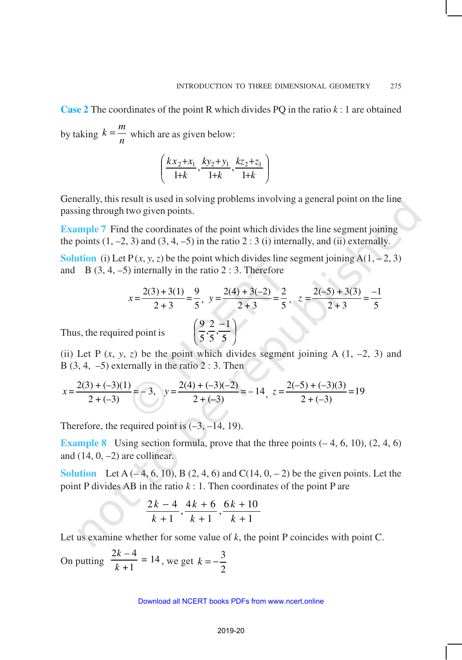**Case 2** The coordinates of the point R which divides PQ in the ratio *k* : 1 are obtained by taking  $k = \frac{m}{n}$  $=\frac{m}{n}$  which are as given below:

$$
\left(\frac{kx_2 + x_1}{1 + k}, \frac{ky_2 + y_1}{1 + k}, \frac{kz_2 + z_1}{1 + k}\right)
$$

Generally, this result is used in solving problems involving a general point on the line passing through two given points.

**Example 7** Find the coordinates of the point which divides the line segment joining the points  $(1, -2, 3)$  and  $(3, 4, -5)$  in the ratio  $2 : 3$  (i) internally, and (ii) externally.

**Solution** (i) Let  $P(x, y, z)$  be the point which divides line segment joining A(1, –2, 3) and B  $(3, 4, -5)$  internally in the ratio 2 : 3. Therefore

$$
x = \frac{2(3) + 3(1)}{2 + 3} = \frac{9}{5}, \ y = \frac{2(4) + 3(-2)}{2 + 3} = \frac{2}{5}, \ z = \frac{2(-5) + 3(3)}{2 + 3} = \frac{-1}{5}
$$
  
ed point is 
$$
\left(\frac{9}{5}, \frac{2}{5}, \frac{-1}{5}\right)
$$

Thus, the require

(ii) Let P  $(x, y, z)$  be the point which divides segment joining A  $(1, -2, 3)$  and B  $(3, 4, -5)$  externally in the ratio  $2:3$ . Then

$$
x = \frac{2(3) + (-3)(1)}{2 + (-3)} = -3, \quad y = \frac{2(4) + (-3)(-2)}{2 + (-3)} = -14, \quad z = \frac{2(-5) + (-3)(3)}{2 + (-3)} = 19
$$

Therefore, the required point is  $(-3, -14, 19)$ .

**Example 8** Using section formula, prove that the three points  $(-4, 6, 10)$ ,  $(2, 4, 6)$ and  $(14, 0, -2)$  are collinear.

**Solution** Let A  $(-4, 6, 10)$ , B  $(2, 4, 6)$  and C $(14, 0, -2)$  be the given points. Let the point P divides AB in the ratio *k* : 1. Then coordinates of the point P are

$$
\frac{2k-4}{k+1}, \frac{4k+6}{k+1}, \frac{6k+10}{k+1}
$$

Let us examine whether for some value of *k*, the point P coincides with point C.

On putting  $\frac{2k-4}{1+1} = 14$ + 1 *k*  $\frac{k-4}{k+1}$  = 14, we get  $k = -\frac{3}{2}$ 2  $k = -$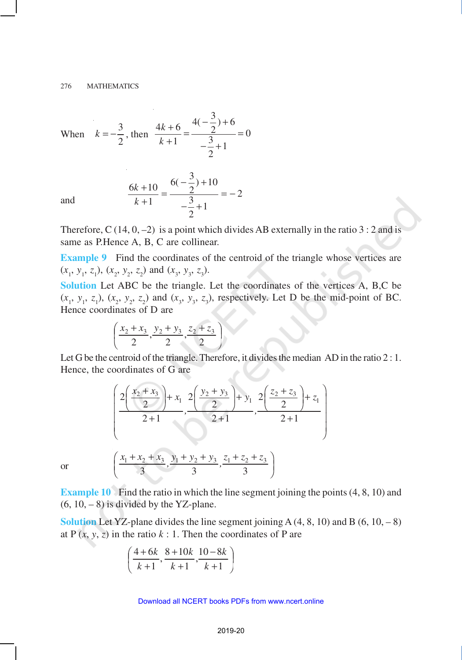When 
$$
k = -\frac{3}{2}
$$
, then  $\frac{4k+6}{k+1} = \frac{4(-\frac{3}{2})+6}{-\frac{3}{2}+1} = 0$ 

and

$$
\frac{6k+10}{k+1} = \frac{6(-\frac{3}{2})+10}{-\frac{3}{2}+1} = -2
$$

Therefore,  $C(14, 0, -2)$  is a point which divides AB externally in the ratio 3 : 2 and is same as P.Hence A, B, C are collinear.

**Example 9** Find the coordinates of the centroid of the triangle whose vertices are  $(x_1, y_1, z_1), (x_2, y_2, z_2)$  and  $(x_3, y_3, z_3)$ .

**Solution** Let ABC be the triangle. Let the coordinates of the vertices A, B,C be  $(x_1, y_1, z_1)$ ,  $(x_2, y_2, z_2)$  and  $(x_3, y_3, z_3)$ , respectively. Let D be the mid-point of BC. Hence coordinates of D are

$$
\left(\frac{x_2 + x_3}{2}, \frac{y_2 + y_3}{2}, \frac{z_2 + z_3}{2}\right)
$$

Let G be the centroid of the triangle. Therefore, it divides the median AD in the ratio 2 : 1. Hence, the coordinates of G are

$$
\left(\frac{2\left(\frac{x_2+x_3}{2}\right)+x_1}{2+1}, \frac{2\left(\frac{y_2+y_3}{2}\right)+y_1}{2+1}, \frac{2\left(\frac{z_2+z_3}{2}\right)+z_1}{2+1}\right)
$$

or

 $_1 + \lambda_2 + \lambda_3$   $\lambda_1 + \lambda_2 + \lambda_3$   $\lambda_1 + \lambda_2 + \lambda_3$ 3 3 3  $\left( \frac{x_1 + x_2 + x_3}{2}, \frac{y_1 + y_2 + y_3}{2}, \frac{z_1 + z_2 + z_3}{2} \right)$  $\left(\frac{1}{3}, \frac{2}{3}, \frac{1}{3}, \frac{1}{3}, \frac{1}{3}\right)$ 

**Example 10** Find the ratio in which the line segment joining the points (4, 8, 10) and  $(6, 10, -8)$  is divided by the YZ-plane.

**Solution** Let YZ-plane divides the line segment joining  $A(4, 8, 10)$  and  $B(6, 10, -8)$ at  $P(x, y, z)$  in the ratio  $k: 1$ . Then the coordinates of P are

$$
\left(\frac{4+6k}{k+1}, \frac{8+10k}{k+1}, \frac{10-8k}{k+1}\right)
$$

#### Download all NCERT books PDFs from [www.ncert.online](http://www.ncert.online)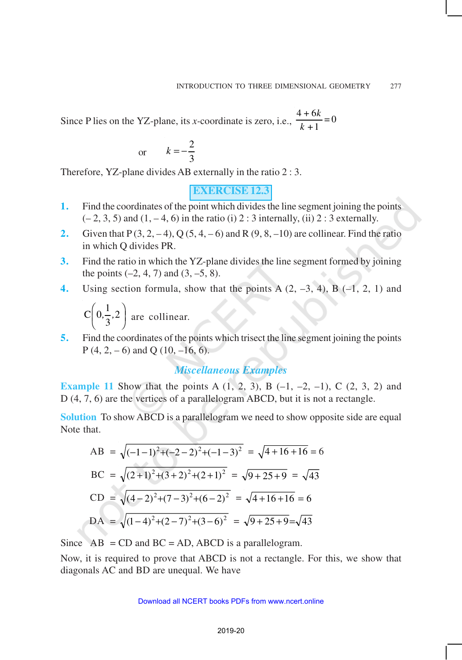Since P lies on the YZ-plane, its *x*-coordinate is zero, i.e.,  $\frac{4+6k}{k+1} = 0$ + 1 *k k*

or 
$$
k=-\frac{2}{3}
$$

Therefore, YZ-plane divides AB externally in the ratio 2 : 3.

**EXERCISE 12.3**

- **1.** Find the coordinates of the point which divides the line segment joining the points  $(-2, 3, 5)$  and  $(1, -4, 6)$  in the ratio (i) 2 : 3 internally, (ii) 2 : 3 externally.
- **2.** Given that  $P(3, 2, -4)$ ,  $Q(5, 4, -6)$  and  $R(9, 8, -10)$  are collinear. Find the ratio in which Q divides PR.
- **3.** Find the ratio in which the YZ-plane divides the line segment formed by joining the points  $(-2, 4, 7)$  and  $(3, -5, 8)$ .
- **4.** Using section formula, show that the points A  $(2, -3, 4)$ , B  $(-1, 2, 1)$  and

$$
C\left(0,\frac{1}{3},2\right)
$$
 are collinear.

**5.** Find the coordinates of the points which trisect the line segment joining the points  $P(4, 2, -6)$  and Q  $(10, -16, 6)$ .

## *Miscellaneous Examples*

**Example 11** Show that the points A  $(1, 2, 3)$ , B  $(-1, -2, -1)$ , C  $(2, 3, 2)$  and D (4, 7, 6) are the vertices of a parallelogram ABCD, but it is not a rectangle.

**Solution** To show ABCD is a parallelogram we need to show opposite side are equal Note that.

$$
AB = \sqrt{(-1-1)^2 + (-2-2)^2 + (-1-3)^2} = \sqrt{4+16+16} = 6
$$
  
\n
$$
BC = \sqrt{(2+1)^2 + (3+2)^2 + (2+1)^2} = \sqrt{9+25+9} = \sqrt{43}
$$
  
\n
$$
CD = \sqrt{(4-2)^2 + (7-3)^2 + (6-2)^2} = \sqrt{4+16+16} = 6
$$
  
\n
$$
DA = \sqrt{(1-4)^2 + (2-7)^2 + (3-6)^2} = \sqrt{9+25+9} = \sqrt{43}
$$

Since  $AB = CD$  and  $BC = AD$ , ABCD is a parallelogram.

Now, it is required to prove that ABCD is not a rectangle. For this, we show that diagonals AC and BD are unequal. We have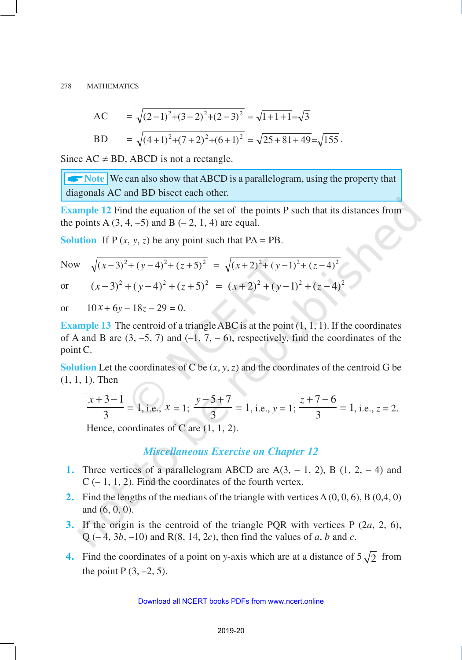$$
AC = \sqrt{(2-1)^2 + (3-2)^2 + (2-3)^2} = \sqrt{1+1+1} = \sqrt{3}
$$

$$
BD = \sqrt{(4+1)^2 + (7+2)^2 + (6+1)^2} = \sqrt{25+81+49} = \sqrt{155}.
$$

Since  $AC \neq BD$ , ABCD is not a rectangle.

**ANOTE:** We can also show that ABCD is a parallelogram, using the property that diagonals AC and BD bisect each other.

**Example 12** Find the equation of the set of the points P such that its distances from the points A  $(3, 4, -5)$  and B  $(-2, 1, 4)$  are equal.

**Solution** If  $P(x, y, z)$  be any point such that  $PA = PB$ .

Now 
$$
\sqrt{(x-3)^2 + (y-4)^2 + (z+5)^2} = \sqrt{(x+2)^2 + (y-1)^2 + (z-4)^2}
$$

$$
\overline{\text{or}}
$$

or 
$$
(x-3)^2 + (y-4)^2 + (z+5)^2 = (x+2)^2 + (y-1)^2 + (z-4)^2
$$

or 
$$
10x + 6y - 18z - 29 = 0.
$$

**Example 13** The centroid of a triangle ABC is at the point  $(1, 1, 1)$ . If the coordinates of A and B are  $(3, -5, 7)$  and  $(-1, 7, -6)$ , respectively, find the coordinates of the point C.

**Solution** Let the coordinates of C be  $(x, y, z)$  and the coordinates of the centroid G be (1, 1, 1). Then

$$
\frac{x+3-1}{3} = 1, \text{ i.e., } x = 1; \frac{y-5+7}{3} = 1, \text{ i.e., } y = 1; \frac{z+7-6}{3} = 1, \text{ i.e., } z = 2.
$$

Hence, coordinates of C are  $(1, 1, 2)$ .

## *Miscellaneous Exercise on Chapter 12*

- **1.** Three vertices of a parallelogram ABCD are  $A(3, -1, 2)$ , B  $(1, 2, -4)$  and  $C$  (-1, 1, 2). Find the coordinates of the fourth vertex.
- **2.** Find the lengths of the medians of the triangle with vertices A (0, 0, 6), B (0,4, 0) and (6, 0, 0).
- **3.** If the origin is the centroid of the triangle PQR with vertices P (2*a*, 2, 6),  $Q(-4, 3b, -10)$  and  $R(8, 14, 2c)$ , then find the values of *a*, *b* and *c*.
- **4.** Find the coordinates of a point on *y*-axis which are at a distance of  $5\sqrt{2}$  from the point  $P(3, -2, 5)$ .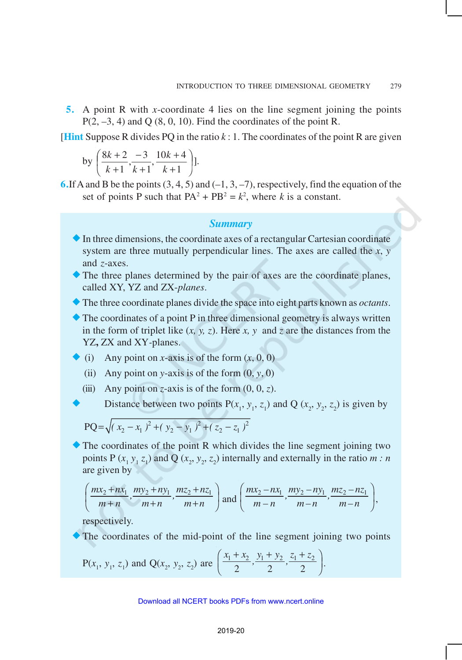**5.** A point R with *x*-coordinate 4 lies on the line segment joining the points  $P(2, -3, 4)$  and Q  $(8, 0, 10)$ . Find the coordinates of the point R.

[**Hint** Suppose R divides PQ in the ratio *k* : 1. The coordinates of the point R are given

by 
$$
\left(\frac{8k+2}{k+1}, \frac{-3}{k+1}, \frac{10k+4}{k+1}\right)
$$
].

**6.**If A and B be the points  $(3, 4, 5)$  and  $(-1, 3, -7)$ , respectively, find the equation of the set of points P such that  $PA^2 + PB^2 = k^2$ , where *k* is a constant.

### *Summary*

- $\bullet$  In three dimensions, the coordinate axes of a rectangular Cartesian coordinate system are three mutually perpendicular lines. The axes are called the *x*, *y* and *z*-axes.
- $\blacklozenge$  The three planes determined by the pair of axes are the coordinate planes, called XY, YZ and ZX-*planes*.
- ®The three coordinate planes divide the space into eight parts known as *octants*.
- $\bullet$  The coordinates of a point P in three dimensional geometry is always written in the form of triplet like  $(x, y, z)$ . Here  $x, y$  and  $z$  are the distances from the YZ**,** ZX and XY*-*planes.
- (i) Any point on *x*-axis is of the form  $(x, 0, 0)$ 
	- (ii) Any point on *y*-axis is of the form  $(0, y, 0)$
	- (iii) Any point on *z*-axis is of the form  $(0, 0, z)$ .
- $\bullet$  Distance between two points  $P(x_1, y_1, z_1)$  and Q  $(x_2, y_2, z_2)$  is given by

PQ=
$$
\sqrt{(x_2 - x_1)^2 + (y_2 - y_1)^2 + (z_2 - z_1)^2}
$$

 $\blacklozenge$  The coordinates of the point R which divides the line segment joining two points P  $(x_1, y_1, z_1)$  and Q  $(x_2, y_2, z_2)$  internally and externally in the ratio *m : n* are given by

$$
\left(\frac{mx_2 + nx_1}{m+n}, \frac{my_2 + ny_1}{m+n}, \frac{mz_2 + nz_1}{m+n}\right) \text{ and } \left(\frac{mx_2 - nx_1}{m-n}, \frac{my_2 - ny_1}{m-n}, \frac{mz_2 - nz_1}{m-n}\right),
$$

respectively.

The coordinates of the mid-point of the line segment joining two points

$$
P(x_1, y_1, z_1)
$$
 and  $Q(x_2, y_2, z_2)$  are  $\left(\frac{x_1 + x_2}{2}, \frac{y_1 + y_2}{2}, \frac{z_1 + z_2}{2}\right)$ .